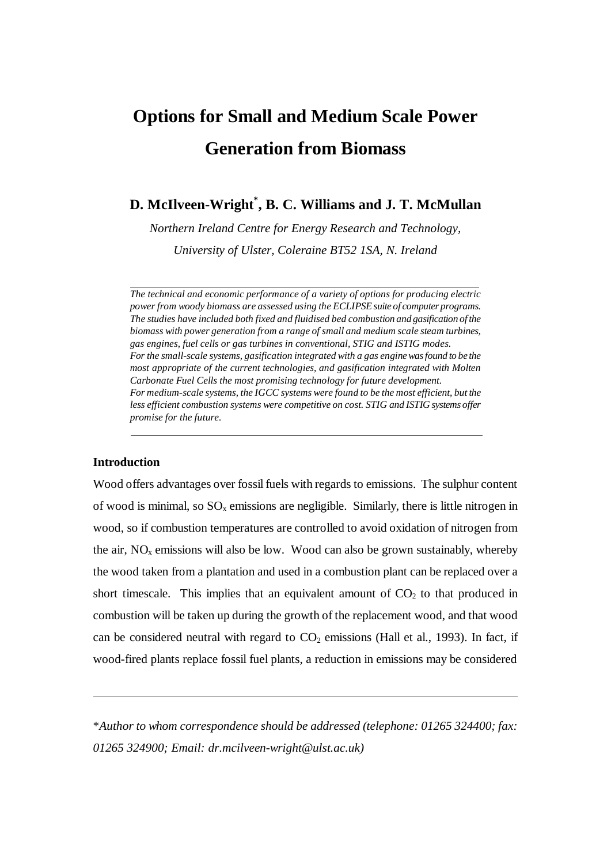# **Options for Small and Medium Scale Power Generation from Biomass**

**D. McIlveen-Wright\* , B. C. Williams and J. T. McMullan**

*Northern Ireland Centre for Energy Research and Technology, University of Ulster, Coleraine BT52 1SA, N. Ireland*

*The technical and economic performance of a variety of options for producing electric power from woody biomass are assessed using the ECLIPSE suite of computer programs. The studies have included both fixed and fluidised bed combustion and gasification of the biomass with power generation from a range of small and medium scale steam turbines, gas engines, fuel cells or gas turbines in conventional, STIG and ISTIG modes. For the small-scale systems, gasification integrated with a gas engine was found to be the most appropriate of the current technologies, and gasification integrated with Molten Carbonate Fuel Cells the most promising technology for future development. For medium-scale systems, the IGCC systems were found to be the most efficient, but the less efficient combustion systems were competitive on cost. STIG and ISTIG systems offer promise for the future.*

# **Introduction**

Wood offers advantages over fossil fuels with regards to emissions. The sulphur content of wood is minimal, so  $SO_x$  emissions are negligible. Similarly, there is little nitrogen in wood, so if combustion temperatures are controlled to avoid oxidation of nitrogen from the air,  $NO<sub>x</sub>$  emissions will also be low. Wood can also be grown sustainably, whereby the wood taken from a plantation and used in a combustion plant can be replaced over a short timescale. This implies that an equivalent amount of  $CO<sub>2</sub>$  to that produced in combustion will be taken up during the growth of the replacement wood, and that wood can be considered neutral with regard to  $CO<sub>2</sub>$  emissions (Hall et al., 1993). In fact, if wood-fired plants replace fossil fuel plants, a reduction in emissions may be considered

\**Author to whom correspondence should be addressed (telephone: 01265 324400; fax: 01265 324900; Email: [dr.mcilveen-wright@ulst.ac.uk\)](mailto:dr.mcilveen-wright@ulst.ac.uk)*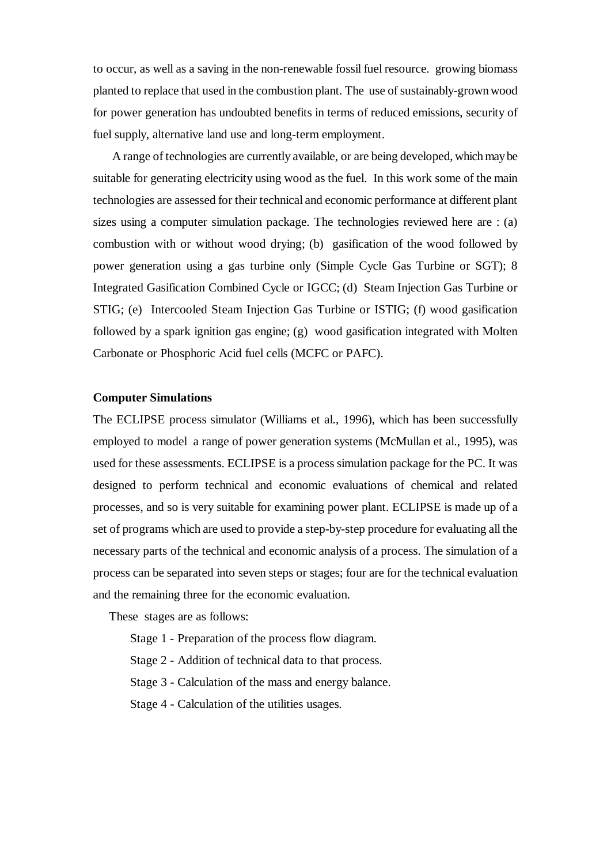to occur, as well as a saving in the non-renewable fossil fuel resource. growing biomass planted to replace that used in the combustion plant. The use of sustainably-grown wood for power generation has undoubted benefits in terms of reduced emissions, security of fuel supply, alternative land use and long-term employment.

 A range of technologies are currently available, or are being developed, which may be suitable for generating electricity using wood as the fuel. In this work some of the main technologies are assessed for their technical and economic performance at different plant sizes using a computer simulation package. The technologies reviewed here are : (a) combustion with or without wood drying; (b) gasification of the wood followed by power generation using a gas turbine only (Simple Cycle Gas Turbine or SGT); 8 Integrated Gasification Combined Cycle or IGCC; (d) Steam Injection Gas Turbine or STIG; (e) Intercooled Steam Injection Gas Turbine or ISTIG; (f) wood gasification followed by a spark ignition gas engine; (g) wood gasification integrated with Molten Carbonate or Phosphoric Acid fuel cells (MCFC or PAFC).

### **Computer Simulations**

The ECLIPSE process simulator (Williams et al., 1996), which has been successfully employed to model a range of power generation systems (McMullan et al., 1995), was used for these assessments. ECLIPSE is a process simulation package for the PC. It was designed to perform technical and economic evaluations of chemical and related processes, and so is very suitable for examining power plant. ECLIPSE is made up of a set of programs which are used to provide a step-by-step procedure for evaluating all the necessary parts of the technical and economic analysis of a process. The simulation of a process can be separated into seven steps or stages; four are for the technical evaluation and the remaining three for the economic evaluation.

These stages are as follows:

- Stage 1 Preparation of the process flow diagram.
- Stage 2 Addition of technical data to that process.
- Stage 3 Calculation of the mass and energy balance.
- Stage 4 Calculation of the utilities usages.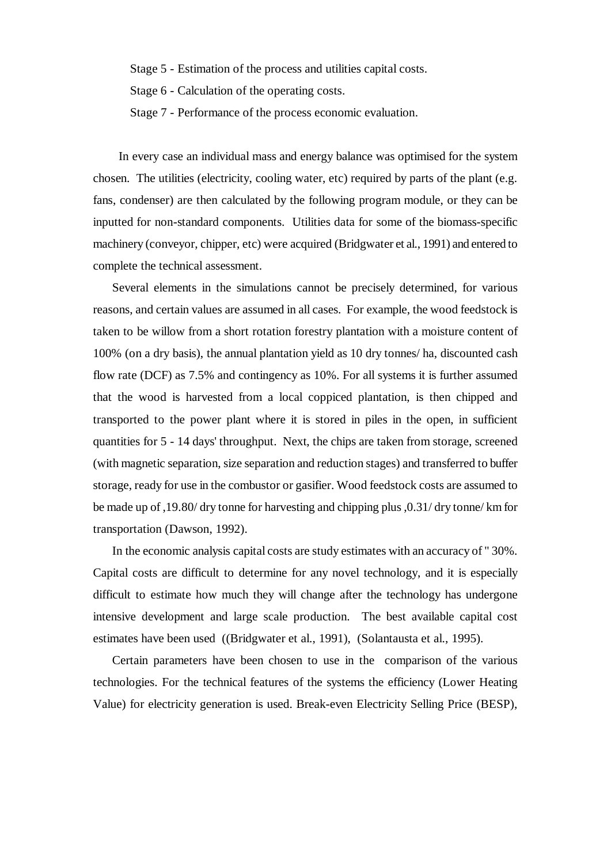Stage 5 - Estimation of the process and utilities capital costs.

Stage 6 - Calculation of the operating costs.

Stage 7 - Performance of the process economic evaluation.

 In every case an individual mass and energy balance was optimised for the system chosen. The utilities (electricity, cooling water, etc) required by parts of the plant (e.g. fans, condenser) are then calculated by the following program module, or they can be inputted for non-standard components. Utilities data for some of the biomass-specific machinery (conveyor, chipper, etc) were acquired (Bridgwater et al., 1991) and entered to complete the technical assessment.

 Several elements in the simulations cannot be precisely determined, for various reasons, and certain values are assumed in all cases. For example, the wood feedstock is taken to be willow from a short rotation forestry plantation with a moisture content of 100% (on a dry basis), the annual plantation yield as 10 dry tonnes/ ha, discounted cash flow rate (DCF) as 7.5% and contingency as 10%. For all systems it is further assumed that the wood is harvested from a local coppiced plantation, is then chipped and transported to the power plant where it is stored in piles in the open, in sufficient quantities for 5 - 14 days' throughput. Next, the chips are taken from storage, screened (with magnetic separation, size separation and reduction stages) and transferred to buffer storage, ready for use in the combustor or gasifier. Wood feedstock costs are assumed to be made up of ,19.80/ dry tonne for harvesting and chipping plus ,0.31/ dry tonne/ km for transportation (Dawson, 1992).

 In the economic analysis capital costs are study estimates with an accuracy of " 30%. Capital costs are difficult to determine for any novel technology, and it is especially difficult to estimate how much they will change after the technology has undergone intensive development and large scale production. The best available capital cost estimates have been used ((Bridgwater et al., 1991), (Solantausta et al., 1995).

 Certain parameters have been chosen to use in the comparison of the various technologies. For the technical features of the systems the efficiency (Lower Heating Value) for electricity generation is used. Break-even Electricity Selling Price (BESP),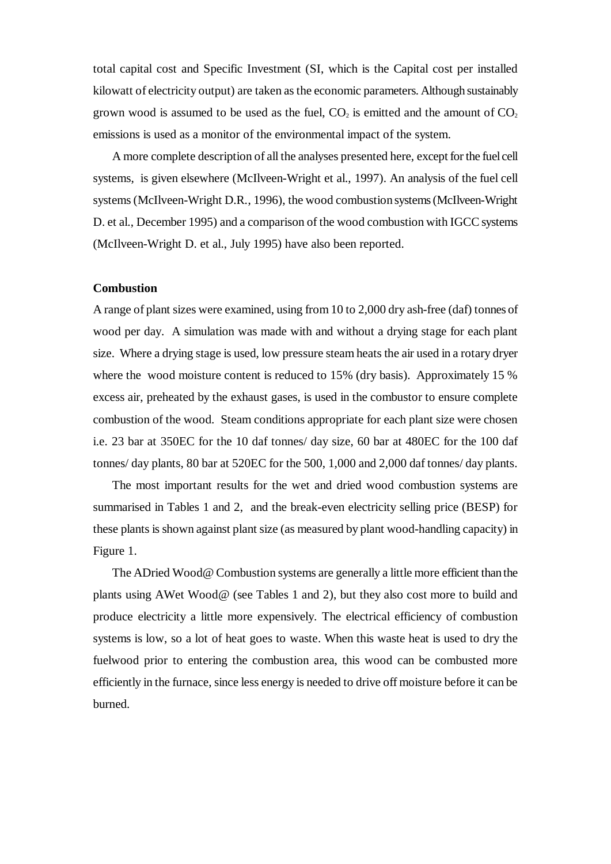total capital cost and Specific Investment (SI, which is the Capital cost per installed kilowatt of electricity output) are taken as the economic parameters. Although sustainably grown wood is assumed to be used as the fuel,  $CO<sub>2</sub>$  is emitted and the amount of  $CO<sub>2</sub>$ emissions is used as a monitor of the environmental impact of the system.

 A more complete description of all the analyses presented here, except for the fuel cell systems, is given elsewhere (McIlveen-Wright et al., 1997). An analysis of the fuel cell systems (McIlveen-Wright D.R., 1996), the wood combustion systems (McIlveen-Wright D. et al., December 1995) and a comparison of the wood combustion with IGCC systems (McIlveen-Wright D. et al., July 1995) have also been reported.

### **Combustion**

A range of plant sizes were examined, using from 10 to 2,000 dry ash-free (daf) tonnes of wood per day. A simulation was made with and without a drying stage for each plant size. Where a drying stage is used, low pressure steam heats the air used in a rotary dryer where the wood moisture content is reduced to 15% (dry basis). Approximately 15 % excess air, preheated by the exhaust gases, is used in the combustor to ensure complete combustion of the wood. Steam conditions appropriate for each plant size were chosen i.e. 23 bar at 350EC for the 10 daf tonnes/ day size, 60 bar at 480EC for the 100 daf tonnes/ day plants, 80 bar at 520EC for the 500, 1,000 and 2,000 daf tonnes/ day plants.

 The most important results for the wet and dried wood combustion systems are summarised in Tables 1 and 2, and the break-even electricity selling price (BESP) for these plants is shown against plant size (as measured by plant wood-handling capacity) in Figure 1.

 The ADried Wood@ Combustion systems are generally a little more efficient than the plants using AWet Wood@ (see Tables 1 and 2), but they also cost more to build and produce electricity a little more expensively. The electrical efficiency of combustion systems is low, so a lot of heat goes to waste. When this waste heat is used to dry the fuelwood prior to entering the combustion area, this wood can be combusted more efficiently in the furnace, since less energy is needed to drive off moisture before it can be burned.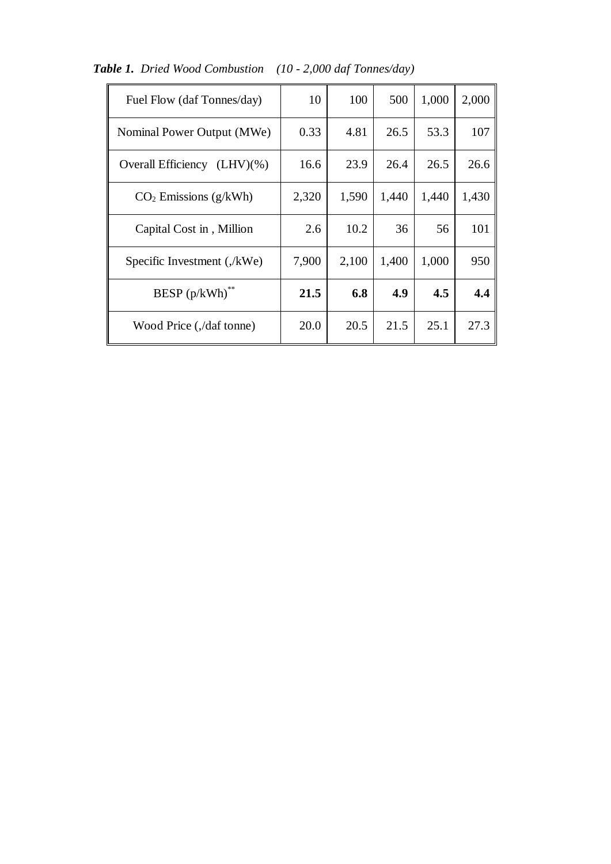| Fuel Flow (daf Tonnes/day)     | 10    | 100   | 500   | 1,000 | 2,000 |
|--------------------------------|-------|-------|-------|-------|-------|
| Nominal Power Output (MWe)     | 0.33  | 4.81  | 26.5  | 53.3  | 107   |
| Overall Efficiency $(LHV)(\%)$ | 16.6  | 23.9  | 26.4  | 26.5  | 26.6  |
| $CO2$ Emissions (g/kWh)        | 2,320 | 1,590 | 1,440 | 1,440 | 1,430 |
| Capital Cost in, Million       | 2.6   | 10.2  | 36    | 56    | 101   |
| Specific Investment $(AWe)$    | 7,900 | 2,100 | 1,400 | 1,000 | 950   |
| BESP $(p/kWh)^{**}$            | 21.5  | 6.8   | 4.9   | 4.5   | 4.4   |
| Wood Price (,/daf tonne)       | 20.0  | 20.5  | 21.5  | 25.1  | 27.3  |

*Table 1. Dried Wood Combustion (10 - 2,000 daf Tonnes/day)*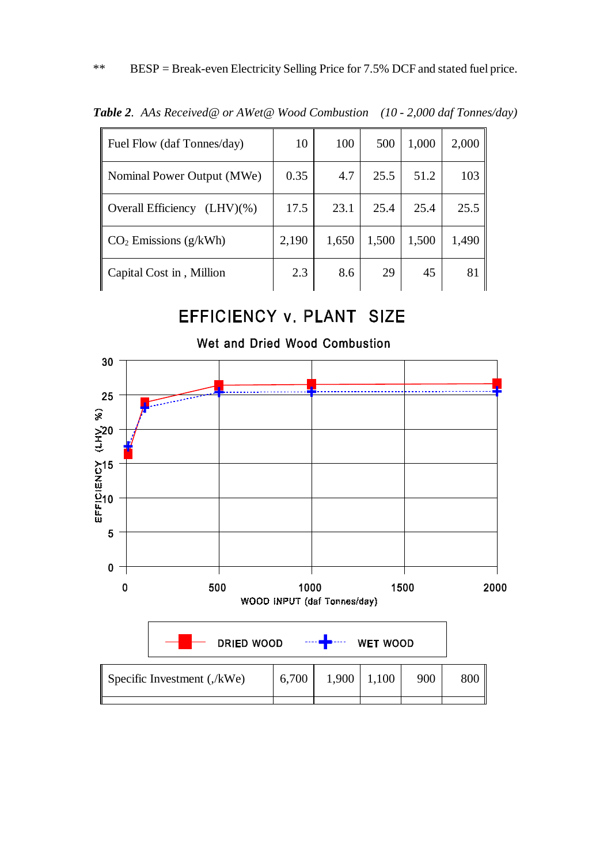| Fuel Flow (daf Tonnes/day)        | 10    | 100   | 500   | 1,000 | 2,000 |
|-----------------------------------|-------|-------|-------|-------|-------|
| Nominal Power Output (MWe)        | 0.35  | 4.7   | 25.5  | 51.2  | 103   |
| Overall Efficiency<br>$(LHV)(\%)$ | 17.5  | 23.1  | 25.4  | 25.4  | 25.5  |
| $CO2$ Emissions (g/kWh)           | 2,190 | 1,650 | 1,500 | 1,500 | 1,490 |
| Capital Cost in, Million          | 2.3   | 8.6   | 29    | 45    | 81    |

*Table 2. AAs Received@ or AWet@ Wood Combustion (10 - 2,000 daf Tonnes/day)*

# EFFICIENCY v. PLANT SIZE



# Wet and Dried Wood Combustion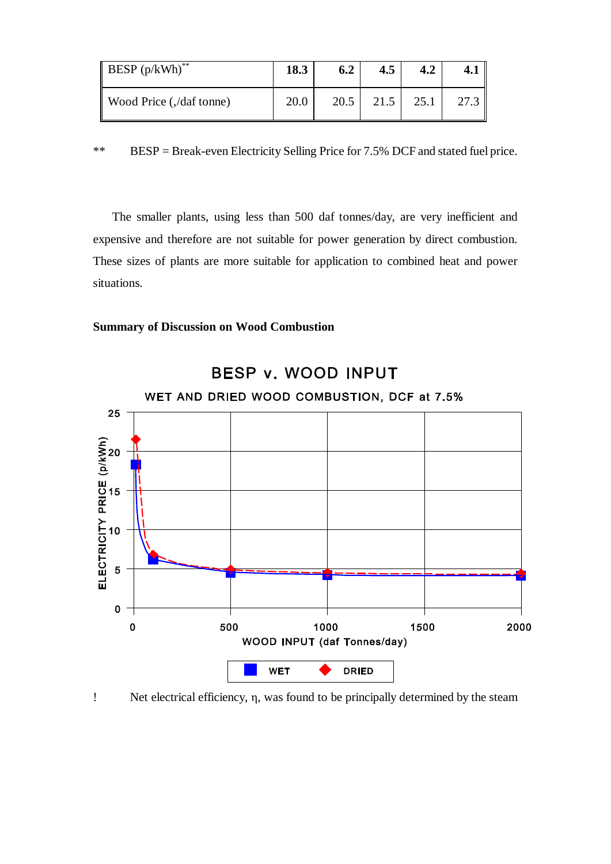| <b>BESP</b> $(p/kWh)^{**}$  | 18.3 | 6.2  | 4.5  | 4.2  | 4.1  |
|-----------------------------|------|------|------|------|------|
| Wood Price $($ , daf tonne) | 20.0 | 20.5 | 21.5 | 25.1 | 27.3 |

 The smaller plants, using less than 500 daf tonnes/day, are very inefficient and expensive and therefore are not suitable for power generation by direct combustion. These sizes of plants are more suitable for application to combined heat and power situations.

# **Summary of Discussion on Wood Combustion**



! Net electrical efficiency, Ș, was found to be principally determined by the steam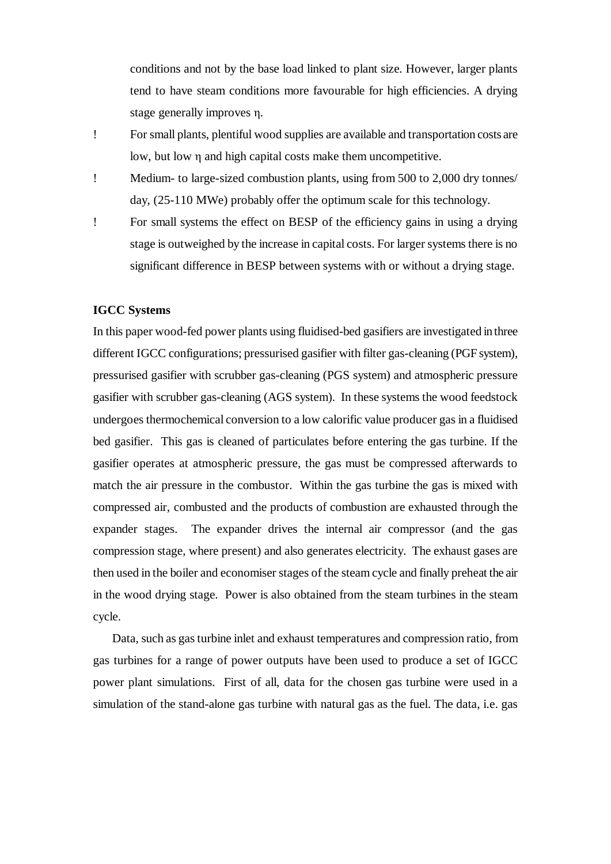conditions and not by the base load linked to plant size. However, larger plants tend to have steam conditions more favourable for high efficiencies. A drying stage generally improves n.

- ! For small plants, plentiful wood supplies are available and transportation costs are low, but low  $\eta$  and high capital costs make them uncompetitive.
- ! Medium- to large-sized combustion plants, using from 500 to 2,000 dry tonnes/ day, (25-110 MWe) probably offer the optimum scale for this technology.
- ! For small systems the effect on BESP of the efficiency gains in using a drying stage is outweighed by the increase in capital costs. For larger systems there is no significant difference in BESP between systems with or without a drying stage.

# **IGCC Systems**

In this paper wood-fed power plants using fluidised-bed gasifiers are investigated in three different IGCC configurations; pressurised gasifier with filter gas-cleaning (PGF system), pressurised gasifier with scrubber gas-cleaning (PGS system) and atmospheric pressure gasifier with scrubber gas-cleaning (AGS system). In these systems the wood feedstock undergoes thermochemical conversion to a low calorific value producer gas in a fluidised bed gasifier. This gas is cleaned of particulates before entering the gas turbine. If the gasifier operates at atmospheric pressure, the gas must be compressed afterwards to match the air pressure in the combustor. Within the gas turbine the gas is mixed with compressed air, combusted and the products of combustion are exhausted through the expander stages. The expander drives the internal air compressor (and the gas compression stage, where present) and also generates electricity. The exhaust gases are then used in the boiler and economiser stages of the steam cycle and finally preheat the air in the wood drying stage. Power is also obtained from the steam turbines in the steam cycle.

 Data, such as gas turbine inlet and exhaust temperatures and compression ratio, from gas turbines for a range of power outputs have been used to produce a set of IGCC power plant simulations. First of all, data for the chosen gas turbine were used in a simulation of the stand-alone gas turbine with natural gas as the fuel. The data, i.e. gas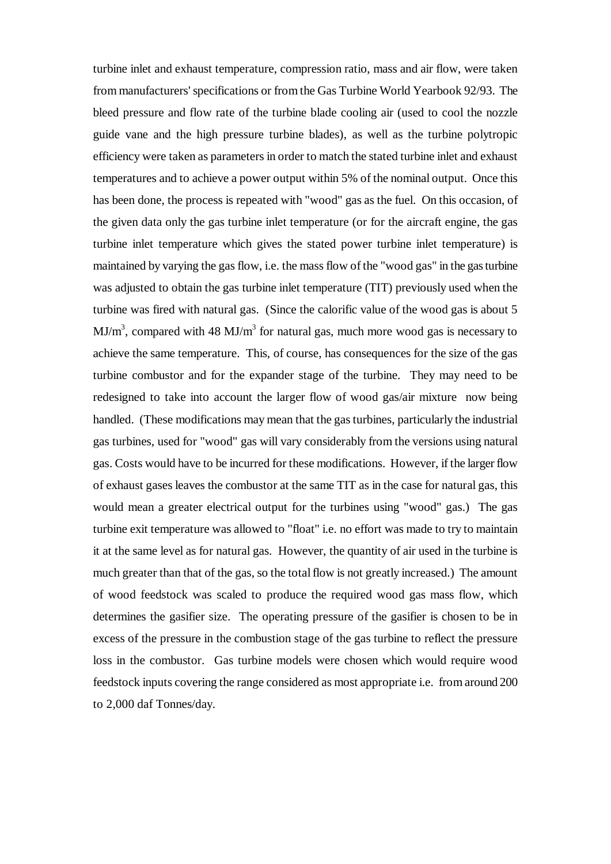turbine inlet and exhaust temperature, compression ratio, mass and air flow, were taken from manufacturers' specifications or from the Gas Turbine World Yearbook 92/93. The bleed pressure and flow rate of the turbine blade cooling air (used to cool the nozzle guide vane and the high pressure turbine blades), as well as the turbine polytropic efficiency were taken as parameters in order to match the stated turbine inlet and exhaust temperatures and to achieve a power output within 5% of the nominal output. Once this has been done, the process is repeated with "wood" gas as the fuel. On this occasion, of the given data only the gas turbine inlet temperature (or for the aircraft engine, the gas turbine inlet temperature which gives the stated power turbine inlet temperature) is maintained by varying the gas flow, i.e. the mass flow of the "wood gas" in the gas turbine was adjusted to obtain the gas turbine inlet temperature (TIT) previously used when the turbine was fired with natural gas. (Since the calorific value of the wood gas is about 5  $MJ/m<sup>3</sup>$ , compared with 48 MJ/m<sup>3</sup> for natural gas, much more wood gas is necessary to achieve the same temperature. This, of course, has consequences for the size of the gas turbine combustor and for the expander stage of the turbine. They may need to be redesigned to take into account the larger flow of wood gas/air mixture now being handled. (These modifications may mean that the gas turbines, particularly the industrial gas turbines, used for "wood" gas will vary considerably from the versions using natural gas. Costs would have to be incurred for these modifications. However, if the larger flow of exhaust gases leaves the combustor at the same TIT as in the case for natural gas, this would mean a greater electrical output for the turbines using "wood" gas.) The gas turbine exit temperature was allowed to "float" i.e. no effort was made to try to maintain it at the same level as for natural gas. However, the quantity of air used in the turbine is much greater than that of the gas, so the total flow is not greatly increased.) The amount of wood feedstock was scaled to produce the required wood gas mass flow, which determines the gasifier size. The operating pressure of the gasifier is chosen to be in excess of the pressure in the combustion stage of the gas turbine to reflect the pressure loss in the combustor. Gas turbine models were chosen which would require wood feedstock inputs covering the range considered as most appropriate i.e. from around 200 to 2,000 daf Tonnes/day.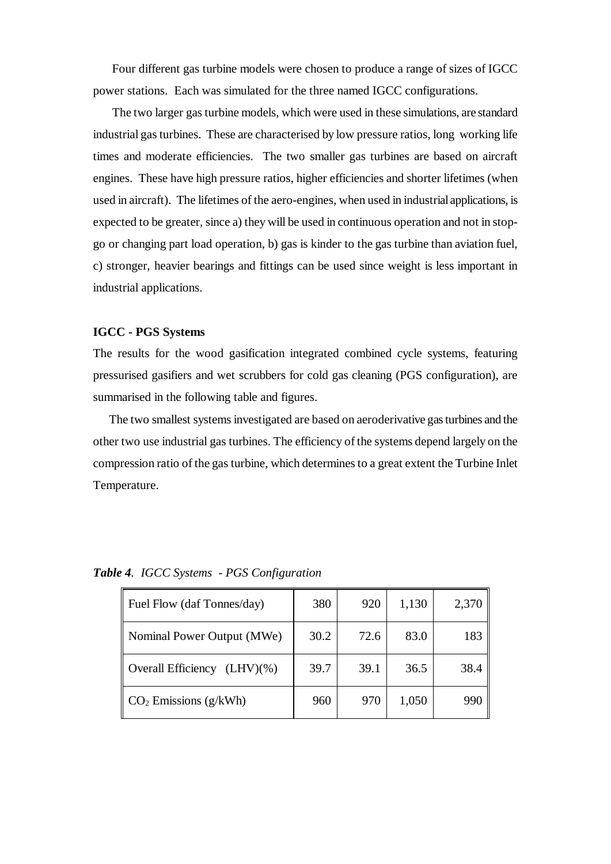Four different gas turbine models were chosen to produce a range of sizes of IGCC power stations. Each was simulated for the three named IGCC configurations.

 The two larger gas turbine models, which were used in these simulations, are standard industrial gas turbines. These are characterised by low pressure ratios, long working life times and moderate efficiencies. The two smaller gas turbines are based on aircraft engines. These have high pressure ratios, higher efficiencies and shorter lifetimes (when used in aircraft). The lifetimes of the aero-engines, when used in industrial applications, is expected to be greater, since a) they will be used in continuous operation and not in stopgo or changing part load operation, b) gas is kinder to the gas turbine than aviation fuel, c) stronger, heavier bearings and fittings can be used since weight is less important in industrial applications.

# **IGCC - PGS Systems**

The results for the wood gasification integrated combined cycle systems, featuring pressurised gasifiers and wet scrubbers for cold gas cleaning (PGS configuration), are summarised in the following table and figures.

 The two smallest systems investigated are based on aeroderivative gas turbines and the other two use industrial gas turbines. The efficiency of the systems depend largely on the compression ratio of the gas turbine, which determines to a great extent the Turbine Inlet Temperature.

| Fuel Flow (daf Tonnes/day)        | 380  | 920  | 1,130 | 2,370 |
|-----------------------------------|------|------|-------|-------|
| Nominal Power Output (MWe)        | 30.2 | 72.6 | 83.0  | 183   |
| Overall Efficiency<br>$(LHV)(\%)$ | 39.7 | 39.1 | 36.5  | 38.4  |
| $CO2$ Emissions (g/kWh)           | 960  | 970  | 1,050 | 990   |

*Table 4. IGCC Systems - PGS Configuration*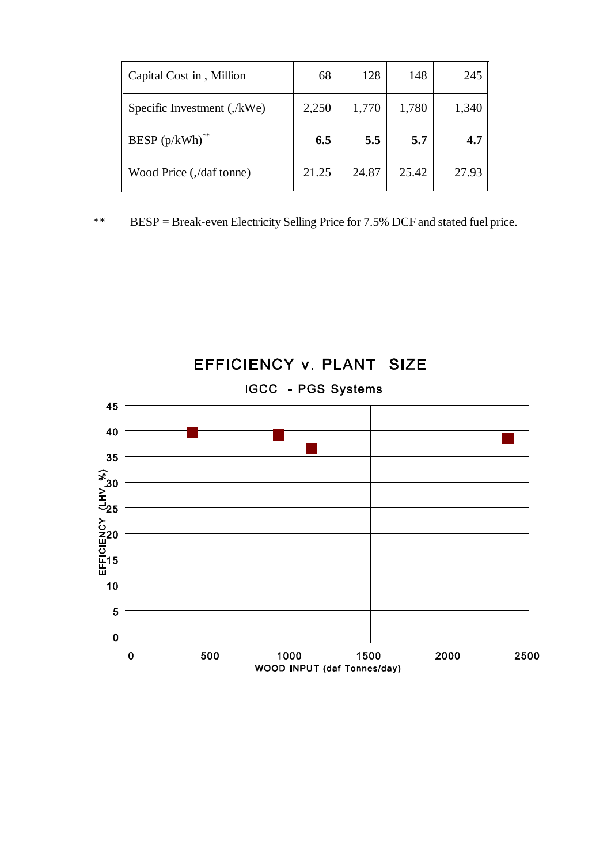| Capital Cost in, Million    | 68    | 128   | 148   | 245   |
|-----------------------------|-------|-------|-------|-------|
| Specific Investment (,/kWe) | 2,250 | 1,770 | 1,780 | 1,340 |
| BESP (p/kWh)**              | 6.5   | 5.5   | 5.7   | 4.7   |
| Wood Price (,/daf tonne)    | 21.25 | 24.87 | 25.42 | 27.93 |

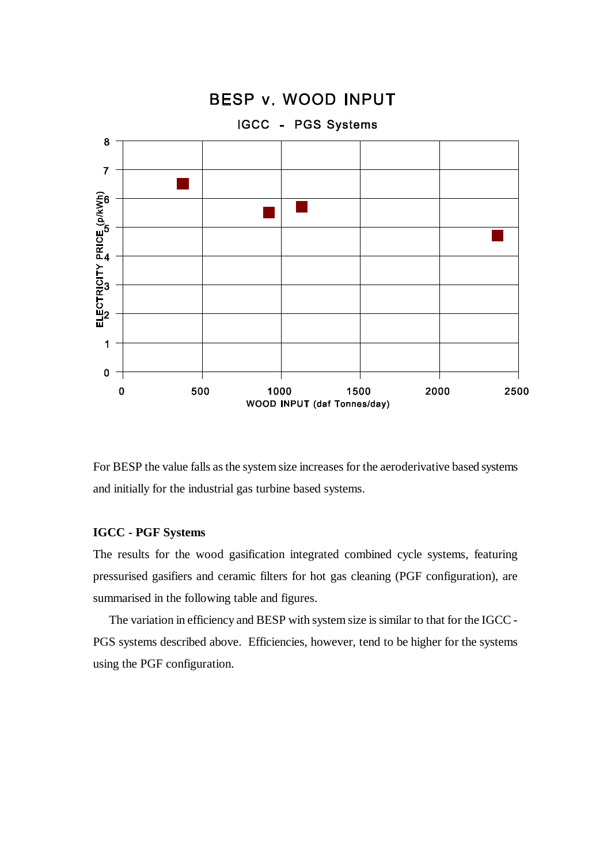

For BESP the value falls as the system size increases for the aeroderivative based systems and initially for the industrial gas turbine based systems.

# **IGCC - PGF Systems**

The results for the wood gasification integrated combined cycle systems, featuring pressurised gasifiers and ceramic filters for hot gas cleaning (PGF configuration), are summarised in the following table and figures.

 The variation in efficiency and BESP with system size is similar to that for the IGCC - PGS systems described above. Efficiencies, however, tend to be higher for the systems using the PGF configuration.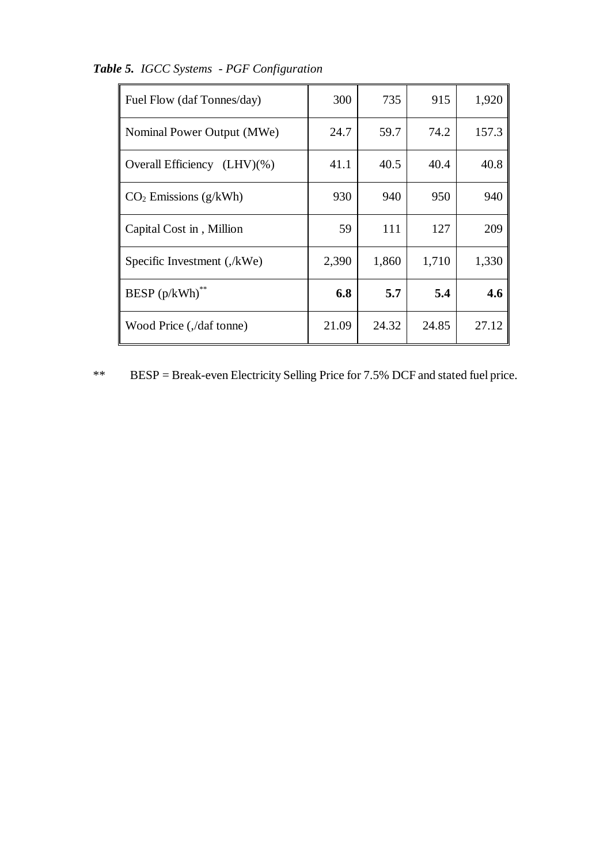| Fuel Flow (daf Tonnes/day)           | 300   | 735   | 915   | 1,920 |
|--------------------------------------|-------|-------|-------|-------|
| Nominal Power Output (MWe)           | 24.7  | 59.7  | 74.2  | 157.3 |
| Overall Efficiency (LHV)(%)          | 41.1  | 40.5  | 40.4  | 40.8  |
| $CO2$ Emissions (g/kWh)              | 930   | 940   | 950   | 940   |
| Capital Cost in, Million             | 59    | 111   | 127   | 209   |
| Specific Investment $(A \times W$ e) | 2,390 | 1,860 | 1,710 | 1,330 |
| BESP (p/kWh)**                       | 6.8   | 5.7   | 5.4   | 4.6   |
| Wood Price (./daf tonne)             | 21.09 | 24.32 | 24.85 | 27.12 |

*Table 5. IGCC Systems - PGF Configuration*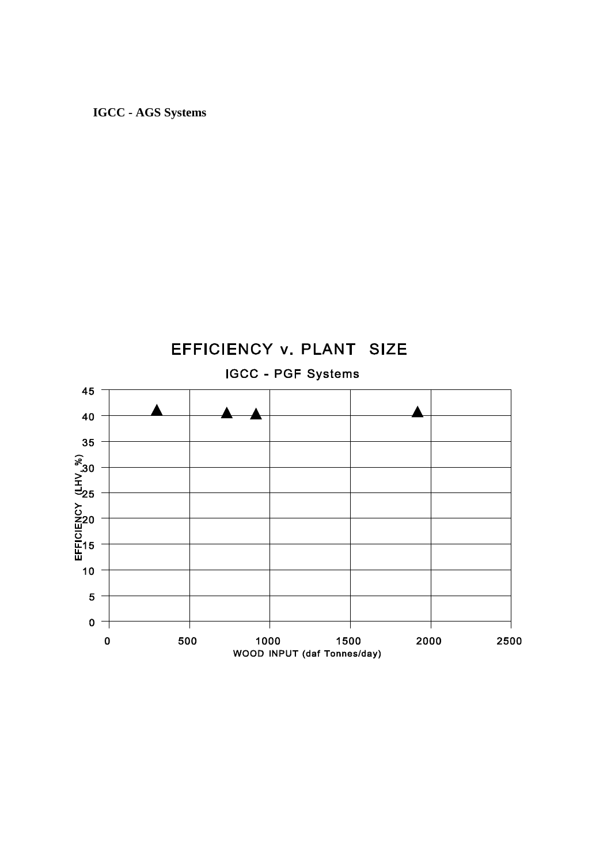**IGCC - AGS Systems**

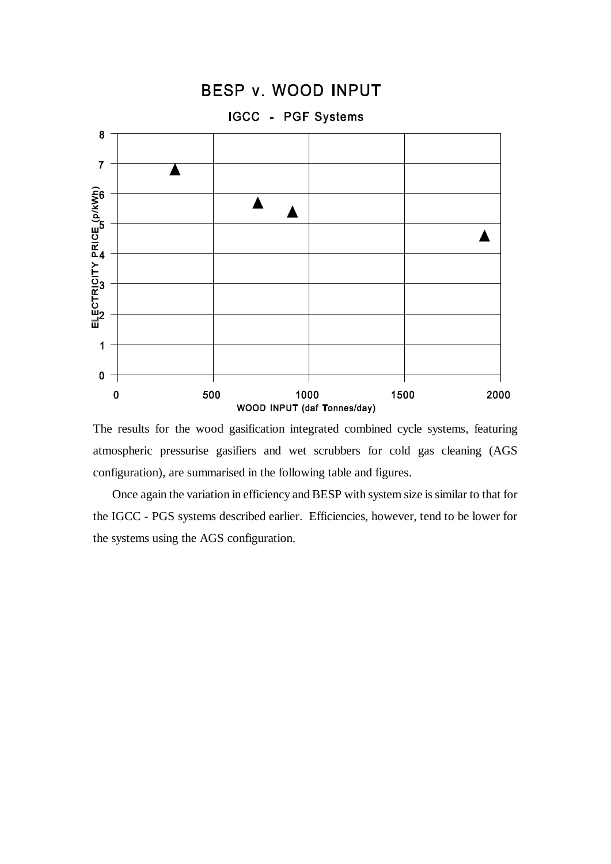

The results for the wood gasification integrated combined cycle systems, featuring atmospheric pressurise gasifiers and wet scrubbers for cold gas cleaning (AGS configuration), are summarised in the following table and figures.

 Once again the variation in efficiency and BESP with system size is similar to that for the IGCC - PGS systems described earlier. Efficiencies, however, tend to be lower for the systems using the AGS configuration.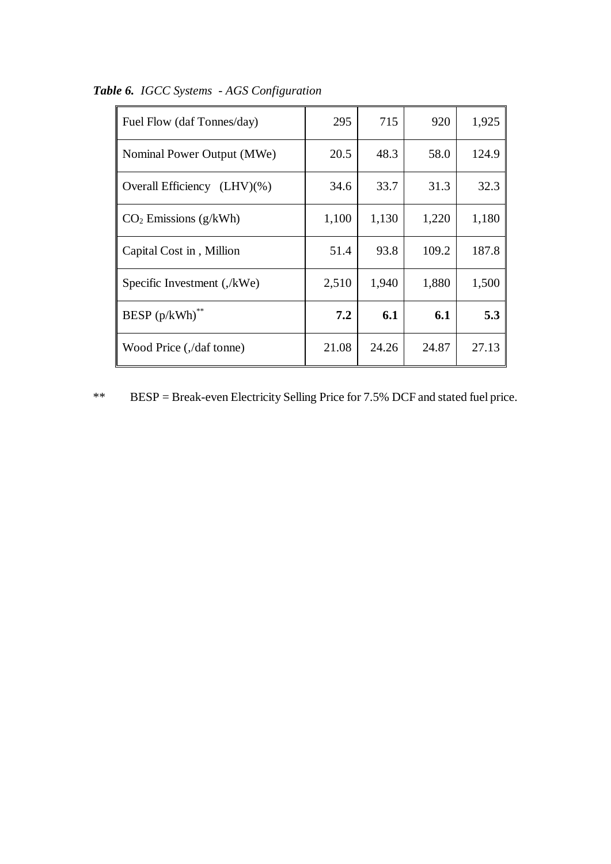| Fuel Flow (daf Tonnes/day)  | 295   | 715   | 920   | 1,925 |
|-----------------------------|-------|-------|-------|-------|
| Nominal Power Output (MWe)  | 20.5  | 48.3  | 58.0  | 124.9 |
| Overall Efficiency (LHV)(%) | 34.6  | 33.7  | 31.3  | 32.3  |
| $CO2$ Emissions (g/kWh)     | 1,100 | 1,130 | 1,220 | 1,180 |
| Capital Cost in, Million    | 51.4  | 93.8  | 109.2 | 187.8 |
| Specific Investment (,/kWe) | 2,510 | 1,940 | 1,880 | 1,500 |
| BESP (p/kWh)**              | 7.2   | 6.1   | 6.1   | 5.3   |
| Wood Price (, /daf tonne)   | 21.08 | 24.26 | 24.87 | 27.13 |

*Table 6. IGCC Systems - AGS Configuration*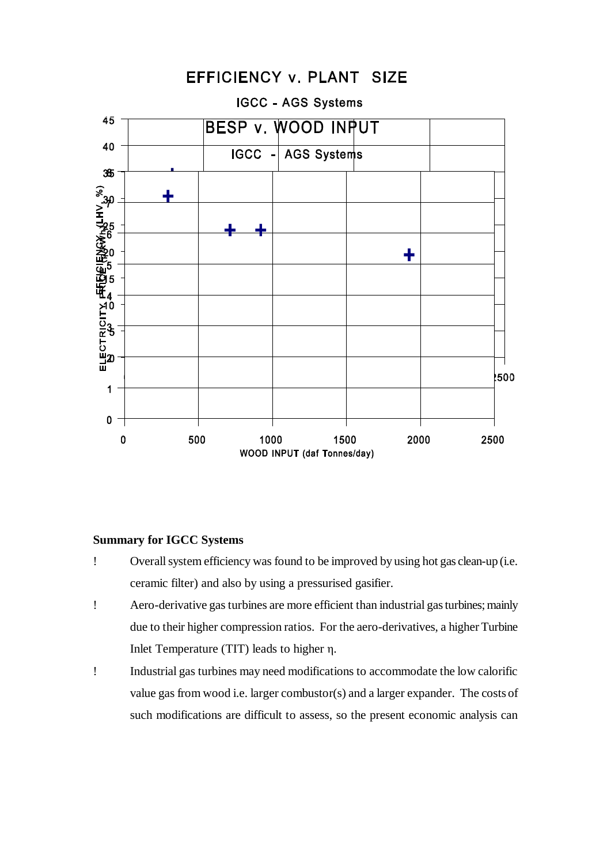

### **Summary for IGCC Systems**

- ! Overall system efficiency was found to be improved by using hot gas clean-up (i.e. ceramic filter) and also by using a pressurised gasifier.
- ! Aero-derivative gas turbines are more efficient than industrial gas turbines; mainly due to their higher compression ratios. For the aero-derivatives, a higher Turbine Inlet Temperature (TIT) leads to higher η.
- ! Industrial gas turbines may need modifications to accommodate the low calorific value gas from wood i.e. larger combustor(s) and a larger expander. The costs of such modifications are difficult to assess, so the present economic analysis can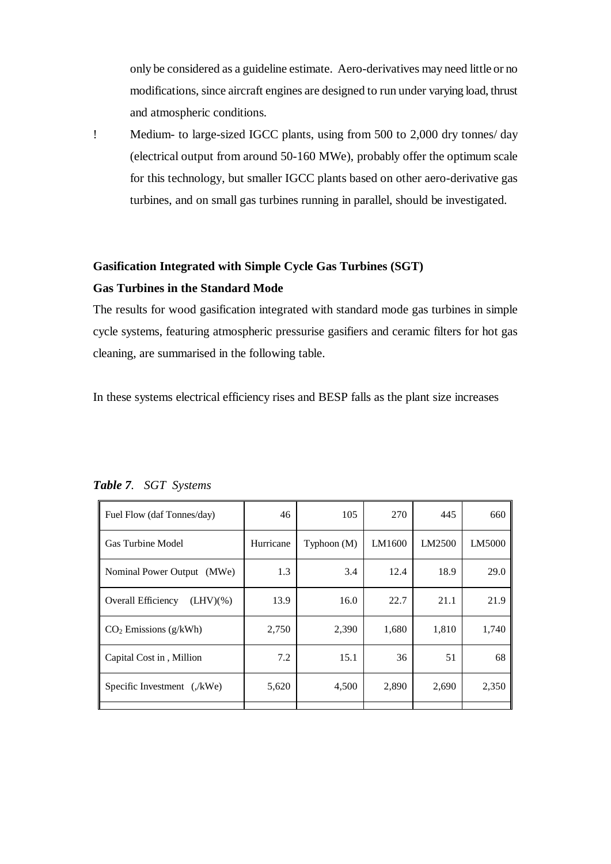only be considered as a guideline estimate. Aero-derivatives may need little or no modifications, since aircraft engines are designed to run under varying load, thrust and atmospheric conditions.

! Medium- to large-sized IGCC plants, using from 500 to 2,000 dry tonnes/ day (electrical output from around 50-160 MWe), probably offer the optimum scale for this technology, but smaller IGCC plants based on other aero-derivative gas turbines, and on small gas turbines running in parallel, should be investigated.

# **Gasification Integrated with Simple Cycle Gas Turbines (SGT)**

# **Gas Turbines in the Standard Mode**

The results for wood gasification integrated with standard mode gas turbines in simple cycle systems, featuring atmospheric pressurise gasifiers and ceramic filters for hot gas cleaning, are summarised in the following table.

In these systems electrical efficiency rises and BESP falls as the plant size increases

| Fuel Flow (daf Tonnes/day)               | 46        | 105           | 270    | 445    | 660    |
|------------------------------------------|-----------|---------------|--------|--------|--------|
| Gas Turbine Model                        | Hurricane | Typhoon $(M)$ | LM1600 | LM2500 | LM5000 |
| Nominal Power Output (MWe)               | 1.3       | 3.4           | 12.4   | 18.9   | 29.0   |
| <b>Overall Efficiency</b><br>$(LHV)(\%)$ | 13.9      | 16.0          | 22.7   | 21.1   | 21.9   |
| $CO2$ Emissions (g/kWh)                  | 2,750     | 2,390         | 1,680  | 1,810  | 1,740  |
| Capital Cost in, Million                 | 7.2       | 15.1          | 36     | 51     | 68     |
| Specific Investment (/kWe)               | 5,620     | 4,500         | 2,890  | 2,690  | 2,350  |
|                                          |           |               |        |        |        |

*Table 7. SGT Systems*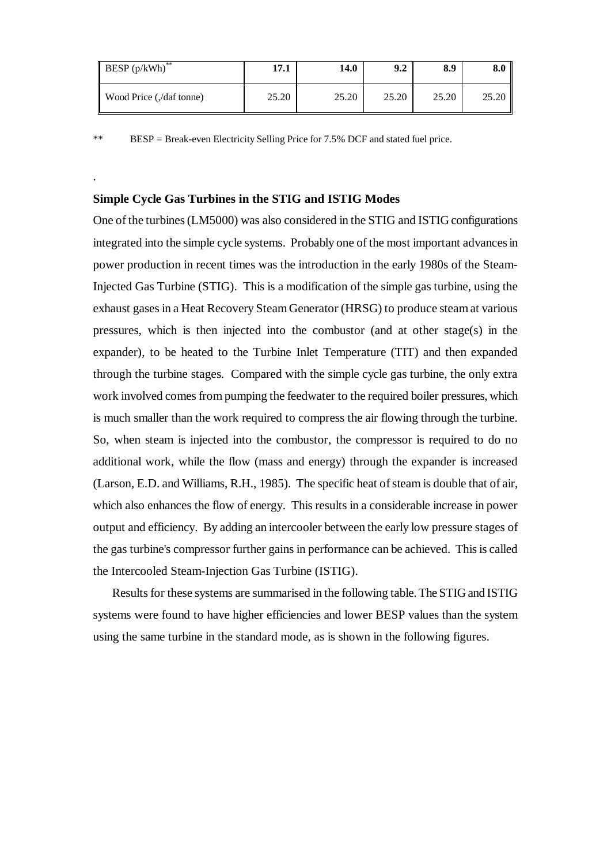| <b>BESP</b> $(p/kWh)^{**}$ | 17.1  | 14.0  | 9.2   | 8.9   | 8.0   |
|----------------------------|-------|-------|-------|-------|-------|
| Wood Price (, /daf tonne)  | 25.20 | 25.20 | 25.20 | 25.20 | 25.20 |

### **Simple Cycle Gas Turbines in the STIG and ISTIG Modes**

.

One of the turbines (LM5000) was also considered in the STIG and ISTIG configurations integrated into the simple cycle systems. Probably one of the most important advances in power production in recent times was the introduction in the early 1980s of the Steam-Injected Gas Turbine (STIG). This is a modification of the simple gas turbine, using the exhaust gases in a Heat Recovery Steam Generator (HRSG) to produce steam at various pressures, which is then injected into the combustor (and at other stage(s) in the expander), to be heated to the Turbine Inlet Temperature (TIT) and then expanded through the turbine stages. Compared with the simple cycle gas turbine, the only extra work involved comes from pumping the feedwater to the required boiler pressures, which is much smaller than the work required to compress the air flowing through the turbine. So, when steam is injected into the combustor, the compressor is required to do no additional work, while the flow (mass and energy) through the expander is increased (Larson, E.D. and Williams, R.H., 1985). The specific heat of steam is double that of air, which also enhances the flow of energy. This results in a considerable increase in power output and efficiency. By adding an intercooler between the early low pressure stages of the gas turbine's compressor further gains in performance can be achieved. This is called the Intercooled Steam-Injection Gas Turbine (ISTIG).

 Results for these systems are summarised in the following table. The STIG and ISTIG systems were found to have higher efficiencies and lower BESP values than the system using the same turbine in the standard mode, as is shown in the following figures.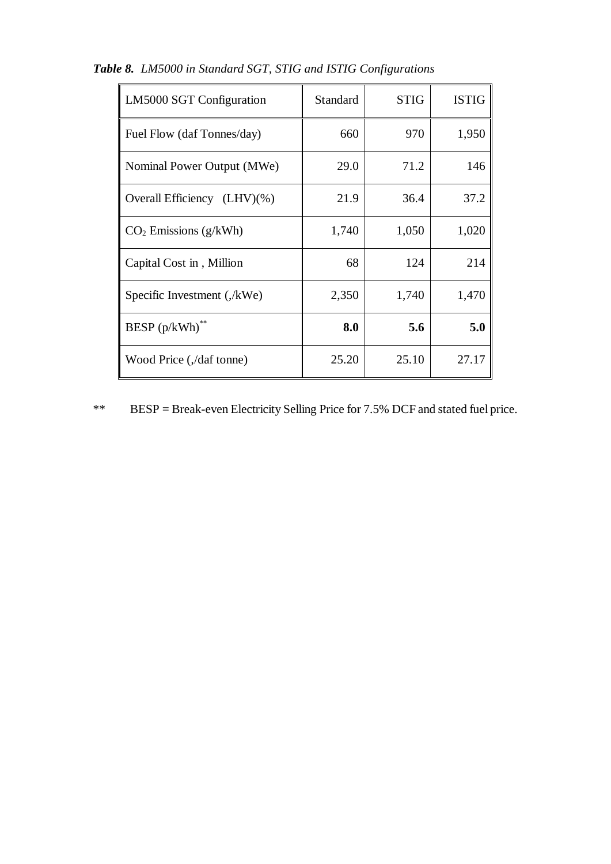| LM5000 SGT Configuration             | <b>Standard</b> | <b>STIG</b> | <b>ISTIG</b> |
|--------------------------------------|-----------------|-------------|--------------|
| Fuel Flow (daf Tonnes/day)           | 660             | 970         | 1,950        |
| Nominal Power Output (MWe)           | 29.0            | 71.2        | 146          |
| Overall Efficiency (LHV)(%)          | 21.9            | 36.4        | 37.2         |
| $CO2$ Emissions (g/kWh)              | 1,740           | 1,050       | 1,020        |
| Capital Cost in, Million             | 68              | 124         | 214          |
| Specific Investment $(A \times W$ e) | 2,350           | 1,740       | 1,470        |
| BESP $(p/kWh)$ <sup>**</sup>         | 8.0             | 5.6         | 5.0          |
| Wood Price (, /daf tonne)            | 25.20           | 25.10       | 27.17        |

*Table 8. LM5000 in Standard SGT, STIG and ISTIG Configurations*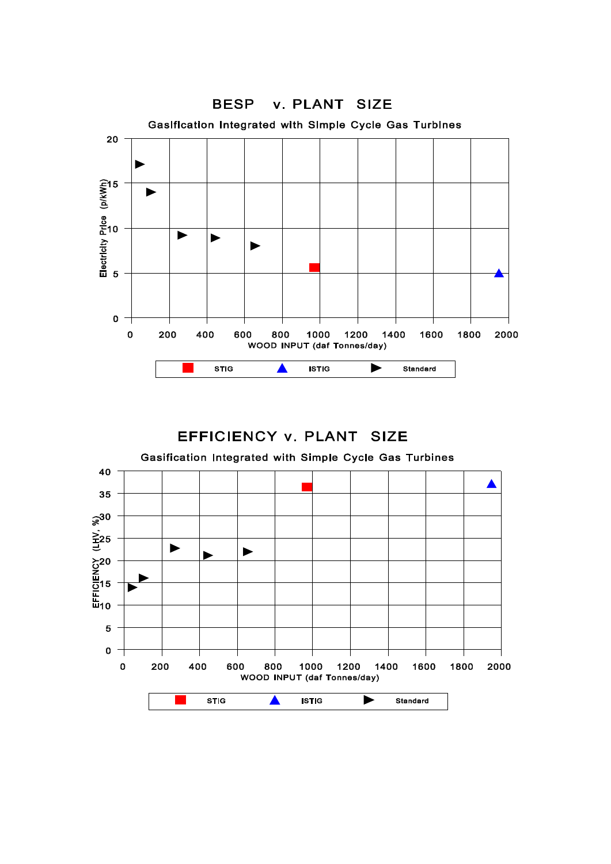

# BESP v. PLANT SIZE

# EFFICIENCY v. PLANT SIZE

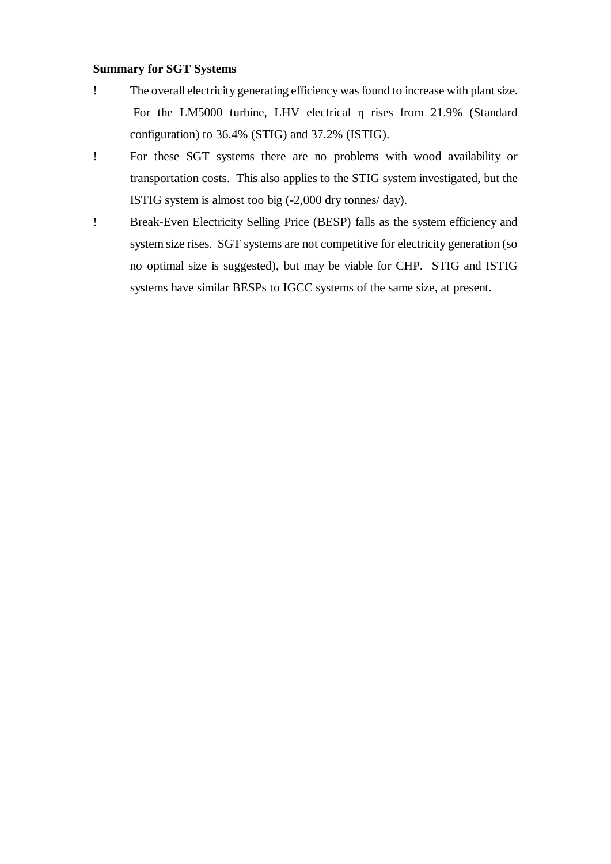### **Summary for SGT Systems**

- ! The overall electricity generating efficiency was found to increase with plant size. For the LM5000 turbine, LHV electrical  $\eta$  rises from 21.9% (Standard configuration) to 36.4% (STIG) and 37.2% (ISTIG).
- ! For these SGT systems there are no problems with wood availability or transportation costs. This also applies to the STIG system investigated, but the ISTIG system is almost too big (-2,000 dry tonnes/ day).
- ! Break-Even Electricity Selling Price (BESP) falls as the system efficiency and system size rises. SGT systems are not competitive for electricity generation (so no optimal size is suggested), but may be viable for CHP. STIG and ISTIG systems have similar BESPs to IGCC systems of the same size, at present.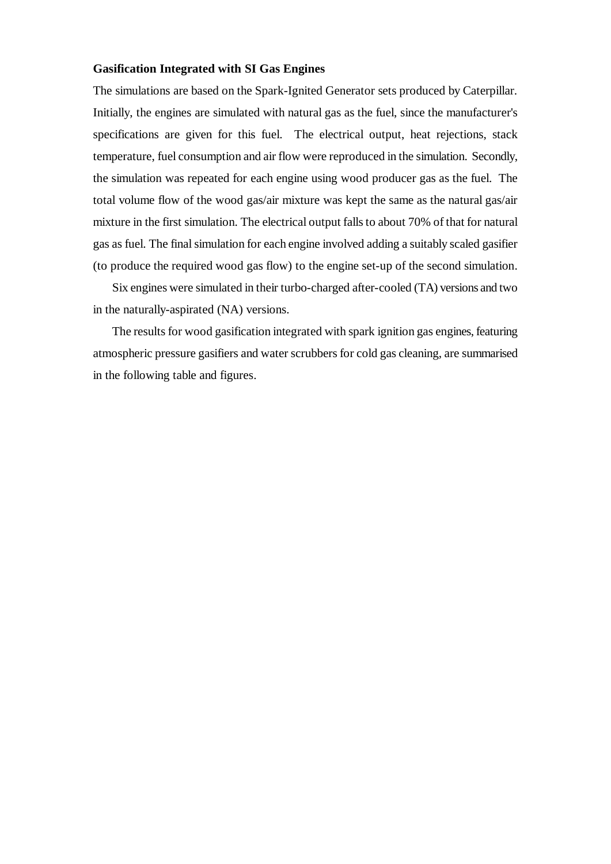### **Gasification Integrated with SI Gas Engines**

The simulations are based on the Spark-Ignited Generator sets produced by Caterpillar. Initially, the engines are simulated with natural gas as the fuel, since the manufacturer's specifications are given for this fuel. The electrical output, heat rejections, stack temperature, fuel consumption and air flow were reproduced in the simulation. Secondly, the simulation was repeated for each engine using wood producer gas as the fuel. The total volume flow of the wood gas/air mixture was kept the same as the natural gas/air mixture in the first simulation. The electrical output falls to about 70% of that for natural gas as fuel. The final simulation for each engine involved adding a suitably scaled gasifier (to produce the required wood gas flow) to the engine set-up of the second simulation.

 Six engines were simulated in their turbo-charged after-cooled (TA) versions and two in the naturally-aspirated (NA) versions.

 The results for wood gasification integrated with spark ignition gas engines, featuring atmospheric pressure gasifiers and water scrubbers for cold gas cleaning, are summarised in the following table and figures.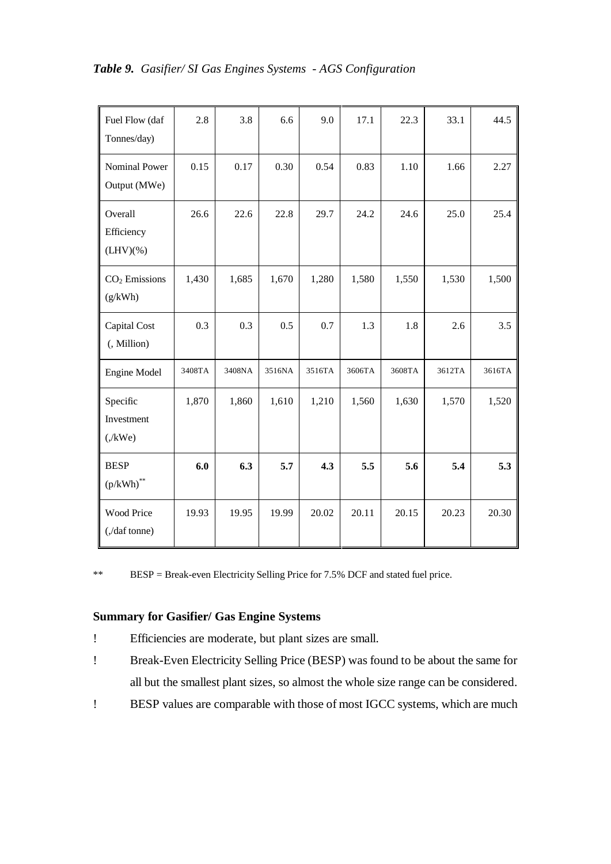| Table 9. Gasifier/ SI Gas Engines Systems - AGS Configuration |  |
|---------------------------------------------------------------|--|
|---------------------------------------------------------------|--|

| Fuel Flow (daf<br>Tonnes/day)                   | 2.8    | 3.8    | 6.6    | 9.0    | 17.1   | 22.3   | 33.1   | 44.5   |
|-------------------------------------------------|--------|--------|--------|--------|--------|--------|--------|--------|
| Nominal Power<br>Output (MWe)                   | 0.15   | 0.17   | 0.30   | 0.54   | 0.83   | 1.10   | 1.66   | 2.27   |
| Overall<br>Efficiency<br>(LHV)(% )              | 26.6   | 22.6   | 22.8   | 29.7   | 24.2   | 24.6   | 25.0   | 25.4   |
| $CO2$ Emissions<br>(g/kWh)                      | 1,430  | 1,685  | 1,670  | 1,280  | 1,580  | 1,550  | 1,530  | 1,500  |
| Capital Cost<br>(, Million)                     | 0.3    | 0.3    | 0.5    | 0.7    | 1.3    | 1.8    | 2.6    | 3.5    |
| <b>Engine Model</b>                             | 3408TA | 3408NA | 3516NA | 3516TA | 3606TA | 3608TA | 3612TA | 3616TA |
| Specific<br>Investment<br>(AKWe)                | 1,870  | 1,860  | 1,610  | 1,210  | 1,560  | 1,630  | 1,570  | 1,520  |
| <b>BESP</b><br>$\left(\text{p/kWh}\right)^{**}$ | 6.0    | 6.3    | 5.7    | 4.3    | 5.5    | 5.6    | 5.4    | 5.3    |
| Wood Price<br>(,/daf tonne)                     | 19.93  | 19.95  | 19.99  | 20.02  | 20.11  | 20.15  | 20.23  | 20.30  |

# **Summary for Gasifier/ Gas Engine Systems**

- ! Efficiencies are moderate, but plant sizes are small.
- ! Break-Even Electricity Selling Price (BESP) was found to be about the same for all but the smallest plant sizes, so almost the whole size range can be considered.
- ! BESP values are comparable with those of most IGCC systems, which are much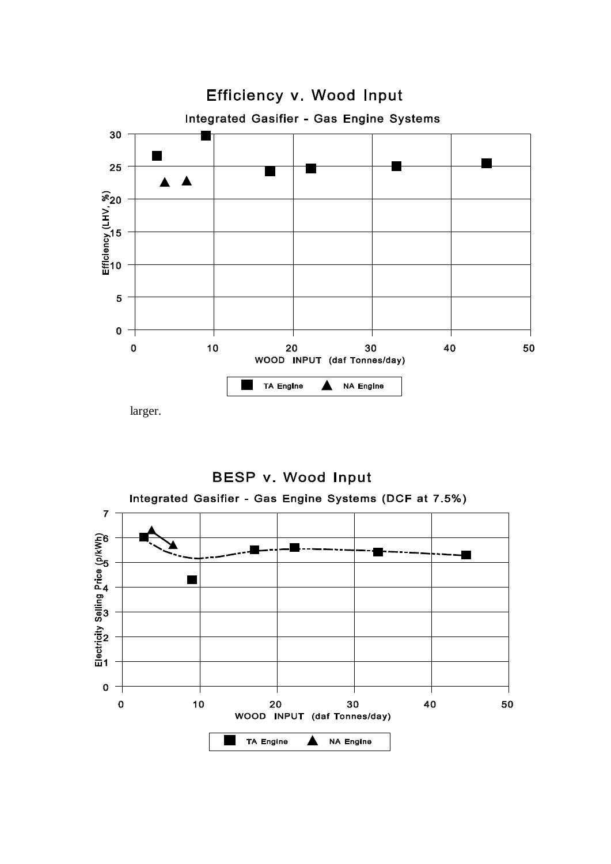

larger.

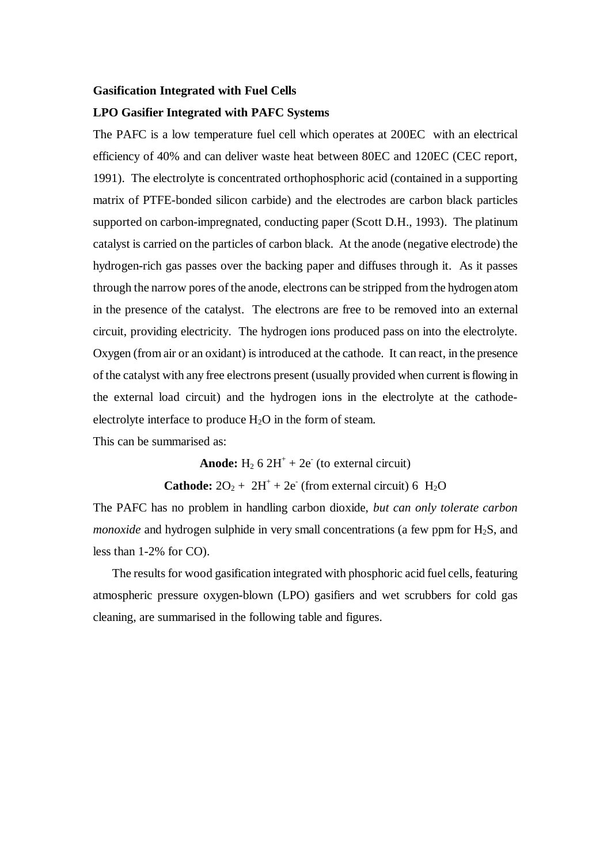#### **Gasification Integrated with Fuel Cells**

#### **LPO Gasifier Integrated with PAFC Systems**

The PAFC is a low temperature fuel cell which operates at 200EC with an electrical efficiency of 40% and can deliver waste heat between 80EC and 120EC (CEC report, 1991). The electrolyte is concentrated orthophosphoric acid (contained in a supporting matrix of PTFE-bonded silicon carbide) and the electrodes are carbon black particles supported on carbon-impregnated, conducting paper (Scott D.H., 1993). The platinum catalyst is carried on the particles of carbon black. At the anode (negative electrode) the hydrogen-rich gas passes over the backing paper and diffuses through it. As it passes through the narrow pores of the anode, electrons can be stripped from the hydrogen atom in the presence of the catalyst. The electrons are free to be removed into an external circuit, providing electricity. The hydrogen ions produced pass on into the electrolyte. Oxygen (from air or an oxidant) is introduced at the cathode. It can react, in the presence of the catalyst with any free electrons present (usually provided when current is flowing in the external load circuit) and the hydrogen ions in the electrolyte at the cathodeelectrolyte interface to produce  $H_2O$  in the form of steam.

This can be summarised as:

**Anode:**  $H_2$  6  $2H^+$  + 2e<sup> $\cdot$ </sup> (to external circuit)

**Cathode:**  $2O_2 + 2H^+ + 2e^-$  (from external circuit) 6  $H_2O$ 

The PAFC has no problem in handling carbon dioxide, *but can only tolerate carbon monoxide* and hydrogen sulphide in very small concentrations (a few ppm for H<sub>2</sub>S, and less than 1-2% for CO).

 The results for wood gasification integrated with phosphoric acid fuel cells, featuring atmospheric pressure oxygen-blown (LPO) gasifiers and wet scrubbers for cold gas cleaning, are summarised in the following table and figures.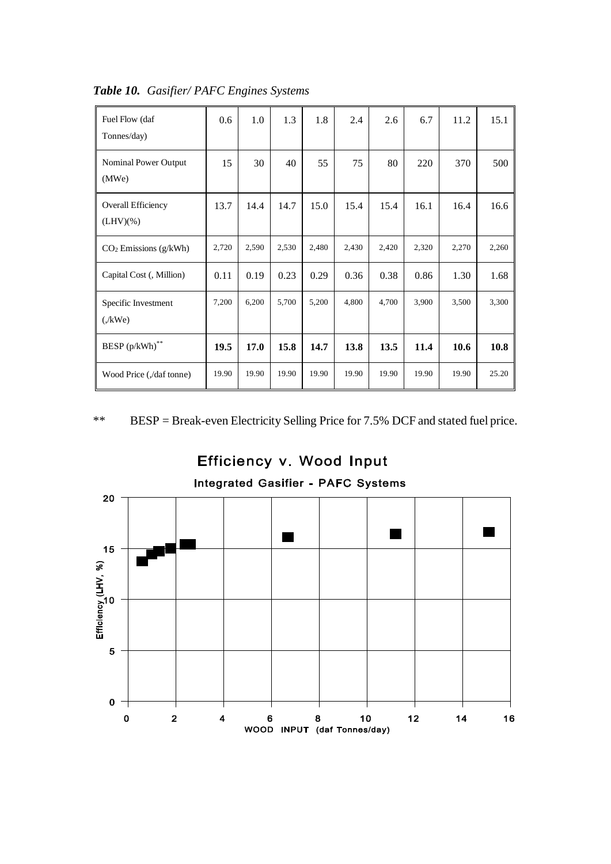| Fuel Flow (daf<br>Tonnes/day)     | 0.6   | 1.0   | 1.3   | 1.8   | 2.4   | 2.6   | 6.7   | 11.2  | 15.1  |
|-----------------------------------|-------|-------|-------|-------|-------|-------|-------|-------|-------|
| Nominal Power Output<br>(MWe)     | 15    | 30    | 40    | 55    | 75    | 80    | 220   | 370   | 500   |
| Overall Efficiency<br>$(LHV)(\%)$ | 13.7  | 14.4  | 14.7  | 15.0  | 15.4  | 15.4  | 16.1  | 16.4  | 16.6  |
| $CO2$ Emissions (g/kWh)           | 2,720 | 2,590 | 2,530 | 2,480 | 2,430 | 2,420 | 2,320 | 2,270 | 2,260 |
| Capital Cost (, Million)          | 0.11  | 0.19  | 0.23  | 0.29  | 0.36  | 0.38  | 0.86  | 1.30  | 1.68  |
| Specific Investment<br>(AKWe)     | 7,200 | 6,200 | 5,700 | 5,200 | 4,800 | 4,700 | 3,900 | 3,500 | 3,300 |
| BESP (p/kWh)**                    | 19.5  | 17.0  | 15.8  | 14.7  | 13.8  | 13.5  | 11.4  | 10.6  | 10.8  |
| Wood Price (,/daf tonne)          | 19.90 | 19.90 | 19.90 | 19.90 | 19.90 | 19.90 | 19.90 | 19.90 | 25.20 |

*Table 10. Gasifier/ PAFC Engines Systems*

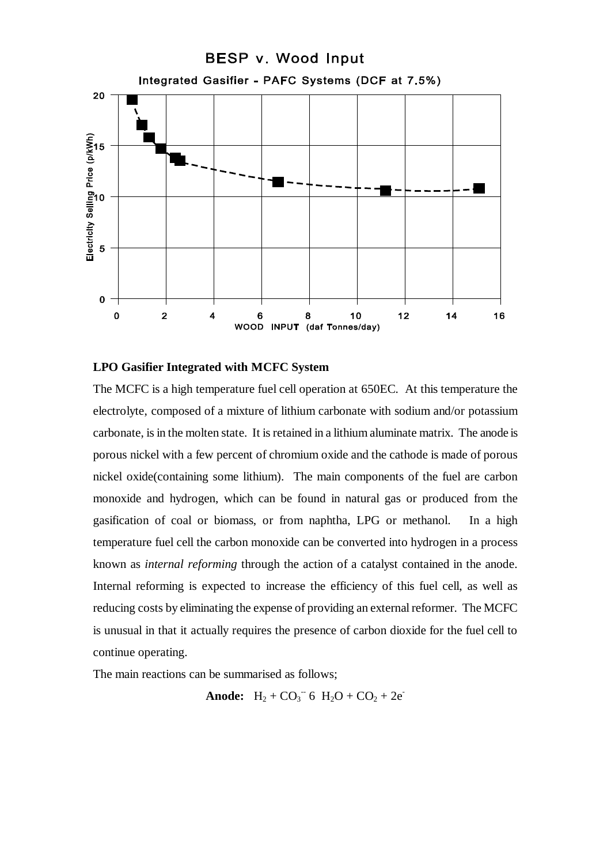

# **LPO Gasifier Integrated with MCFC System**

The MCFC is a high temperature fuel cell operation at 650EC. At this temperature the electrolyte, composed of a mixture of lithium carbonate with sodium and/or potassium carbonate, is in the molten state. It is retained in a lithium aluminate matrix. The anode is porous nickel with a few percent of chromium oxide and the cathode is made of porous nickel oxide(containing some lithium). The main components of the fuel are carbon monoxide and hydrogen, which can be found in natural gas or produced from the gasification of coal or biomass, or from naphtha, LPG or methanol. In a high temperature fuel cell the carbon monoxide can be converted into hydrogen in a process known as *internal reforming* through the action of a catalyst contained in the anode. Internal reforming is expected to increase the efficiency of this fuel cell, as well as reducing costs by eliminating the expense of providing an external reformer. The MCFC is unusual in that it actually requires the presence of carbon dioxide for the fuel cell to continue operating.

The main reactions can be summarised as follows;

**Anode:**  $H_2 + CO_3^-$  6  $H_2O + CO_2 + 2e^-$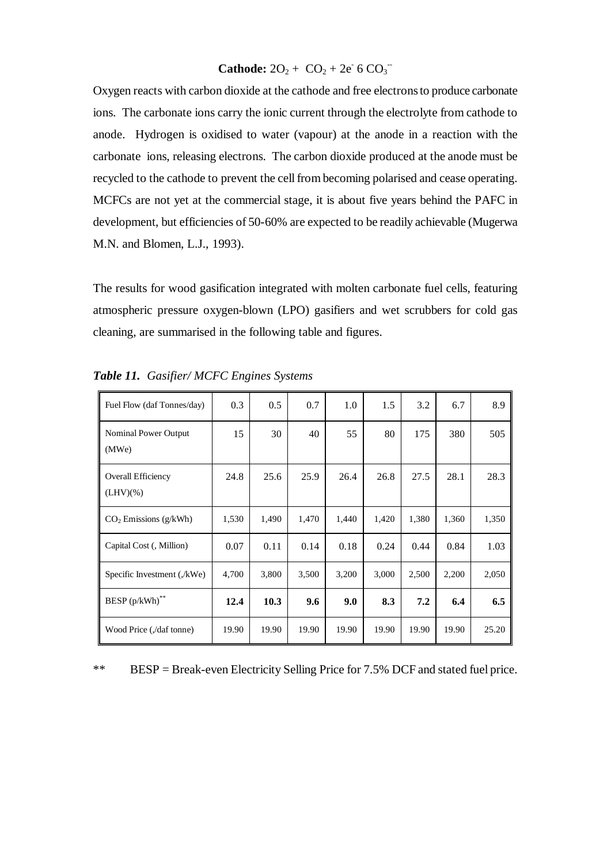# **Cathode:**  $2O_2 + CO_2 + 2e^- 6 CO_3^-$

Oxygen reacts with carbon dioxide at the cathode and free electrons to produce carbonate ions. The carbonate ions carry the ionic current through the electrolyte from cathode to anode. Hydrogen is oxidised to water (vapour) at the anode in a reaction with the carbonate ions, releasing electrons. The carbon dioxide produced at the anode must be recycled to the cathode to prevent the cell from becoming polarised and cease operating. MCFCs are not yet at the commercial stage, it is about five years behind the PAFC in development, but efficiencies of 50-60% are expected to be readily achievable (Mugerwa M.N. and Blomen, L.J., 1993).

The results for wood gasification integrated with molten carbonate fuel cells, featuring atmospheric pressure oxygen-blown (LPO) gasifiers and wet scrubbers for cold gas cleaning, are summarised in the following table and figures.

| Fuel Flow (daf Tonnes/day)        | 0.3   | 0.5   | 0.7   | 1.0   | 1.5   | 3.2   | 6.7   | 8.9   |
|-----------------------------------|-------|-------|-------|-------|-------|-------|-------|-------|
| Nominal Power Output<br>(MWe)     | 15    | 30    | 40    | 55    | 80    | 175   | 380   | 505   |
| Overall Efficiency<br>$(LHV)(\%)$ | 24.8  | 25.6  | 25.9  | 26.4  | 26.8  | 27.5  | 28.1  | 28.3  |
| $CO2$ Emissions (g/kWh)           | 1,530 | 1,490 | 1,470 | 1,440 | 1,420 | 1,380 | 1,360 | 1,350 |
| Capital Cost (, Million)          | 0.07  | 0.11  | 0.14  | 0.18  | 0.24  | 0.44  | 0.84  | 1.03  |
| Specific Investment (,/kWe)       | 4,700 | 3,800 | 3,500 | 3,200 | 3,000 | 2,500 | 2,200 | 2,050 |
| BESP (p/kWh)**                    | 12.4  | 10.3  | 9.6   | 9.0   | 8.3   | 7.2   | 6.4   | 6.5   |
| Wood Price (./daf tonne)          | 19.90 | 19.90 | 19.90 | 19.90 | 19.90 | 19.90 | 19.90 | 25.20 |

*Table 11. Gasifier/ MCFC Engines Systems*

\*\* BESP = Break-even Electricity Selling Price for 7.5% DCF and stated fuel price.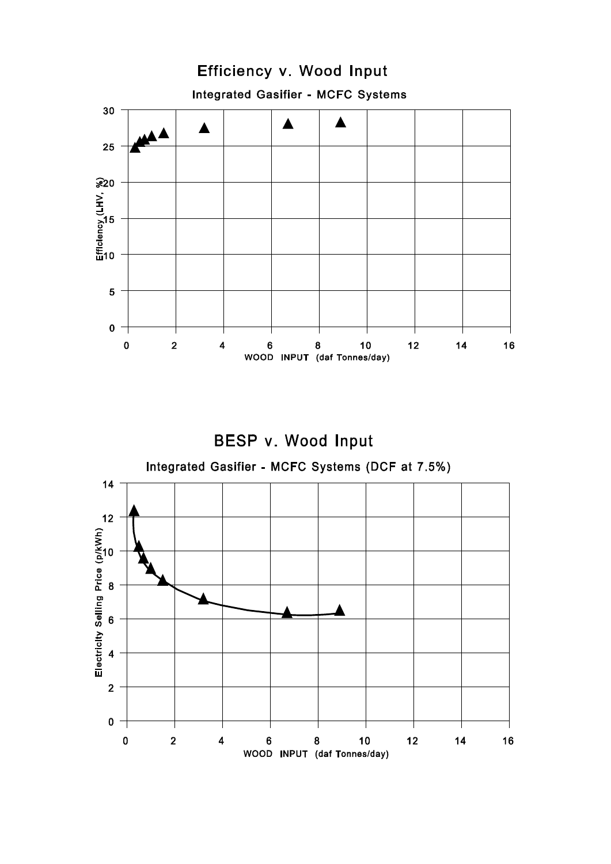



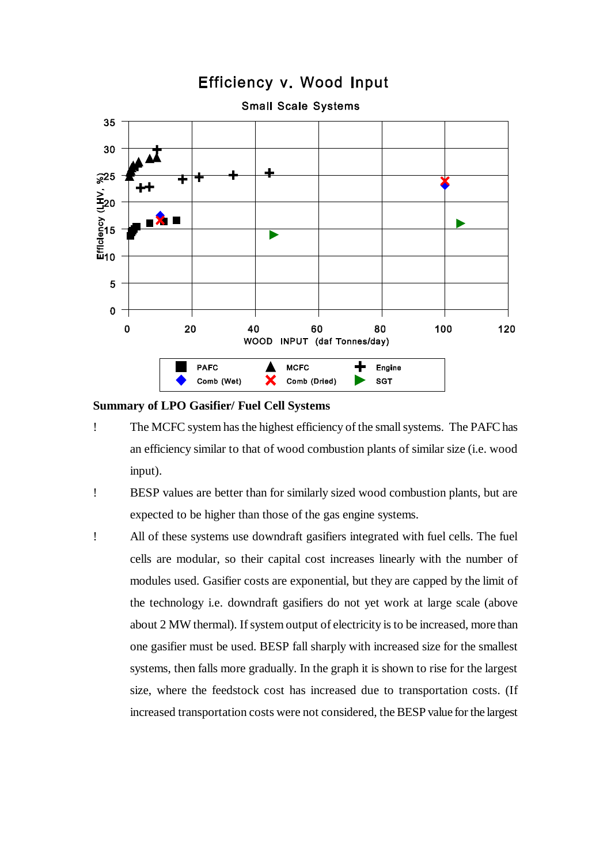

# **Summary of LPO Gasifier/ Fuel Cell Systems**

- ! The MCFC system has the highest efficiency of the small systems. The PAFC has an efficiency similar to that of wood combustion plants of similar size (i.e. wood input).
- ! BESP values are better than for similarly sized wood combustion plants, but are expected to be higher than those of the gas engine systems.
- ! All of these systems use downdraft gasifiers integrated with fuel cells. The fuel cells are modular, so their capital cost increases linearly with the number of modules used. Gasifier costs are exponential, but they are capped by the limit of the technology i.e. downdraft gasifiers do not yet work at large scale (above about 2 MW thermal). If system output of electricity is to be increased, more than one gasifier must be used. BESP fall sharply with increased size for the smallest systems, then falls more gradually. In the graph it is shown to rise for the largest size, where the feedstock cost has increased due to transportation costs. (If increased transportation costs were not considered, the BESP value for the largest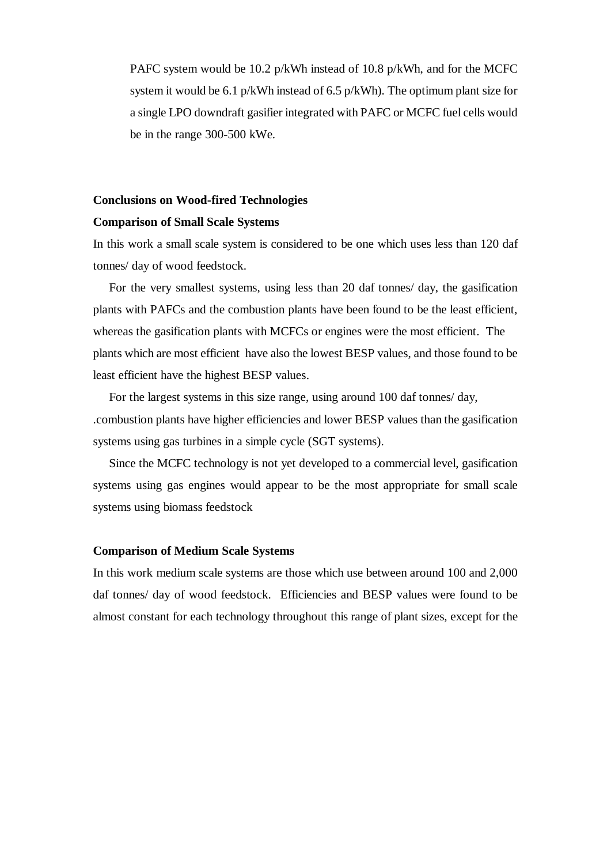PAFC system would be 10.2 p/kWh instead of 10.8 p/kWh, and for the MCFC system it would be 6.1 p/kWh instead of 6.5 p/kWh). The optimum plant size for a single LPO downdraft gasifier integrated with PAFC or MCFC fuel cells would be in the range 300-500 kWe.

### **Conclusions on Wood-fired Technologies**

### **Comparison of Small Scale Systems**

In this work a small scale system is considered to be one which uses less than 120 daf tonnes/ day of wood feedstock.

 For the very smallest systems, using less than 20 daf tonnes/ day, the gasification plants with PAFCs and the combustion plants have been found to be the least efficient, whereas the gasification plants with MCFCs or engines were the most efficient. The plants which are most efficient have also the lowest BESP values, and those found to be least efficient have the highest BESP values.

 For the largest systems in this size range, using around 100 daf tonnes/ day, .combustion plants have higher efficiencies and lower BESP values than the gasification systems using gas turbines in a simple cycle (SGT systems).

 Since the MCFC technology is not yet developed to a commercial level, gasification systems using gas engines would appear to be the most appropriate for small scale systems using biomass feedstock

#### **Comparison of Medium Scale Systems**

In this work medium scale systems are those which use between around 100 and 2,000 daf tonnes/ day of wood feedstock. Efficiencies and BESP values were found to be almost constant for each technology throughout this range of plant sizes, except for the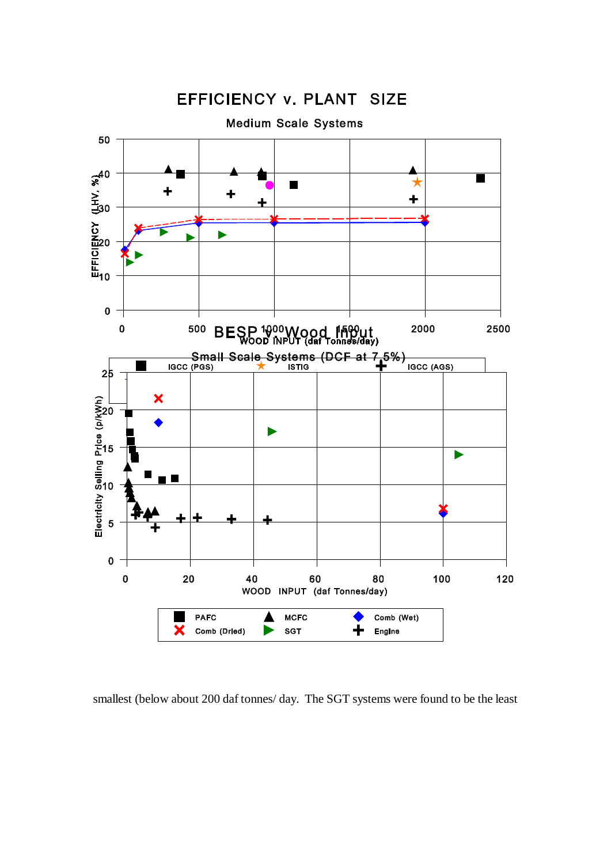

smallest (below about 200 daf tonnes/ day. The SGT systems were found to be the least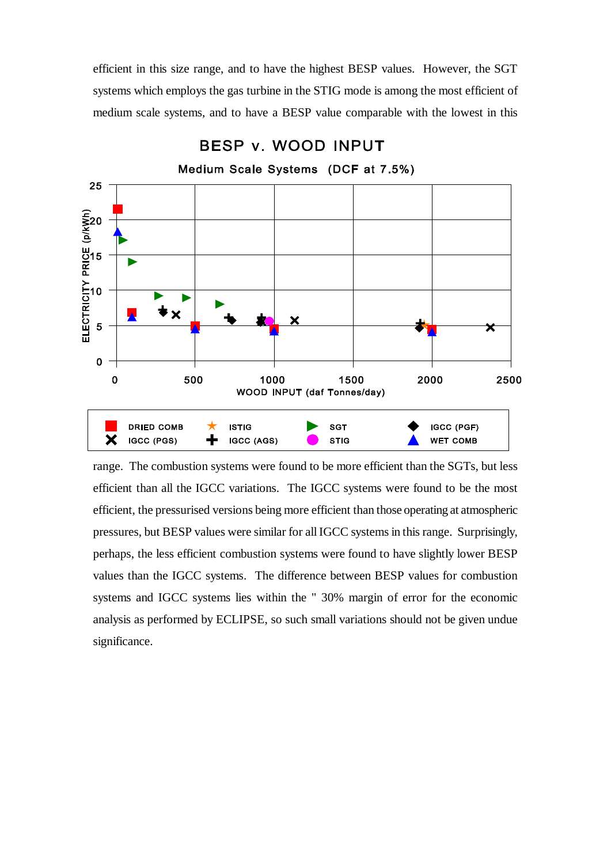efficient in this size range, and to have the highest BESP values. However, the SGT systems which employs the gas turbine in the STIG mode is among the most efficient of medium scale systems, and to have a BESP value comparable with the lowest in this



range. The combustion systems were found to be more efficient than the SGTs, but less efficient than all the IGCC variations. The IGCC systems were found to be the most efficient, the pressurised versions being more efficient than those operating at atmospheric pressures, but BESP values were similar for all IGCC systems in this range. Surprisingly, perhaps, the less efficient combustion systems were found to have slightly lower BESP values than the IGCC systems. The difference between BESP values for combustion systems and IGCC systems lies within the " 30% margin of error for the economic analysis as performed by ECLIPSE, so such small variations should not be given undue significance.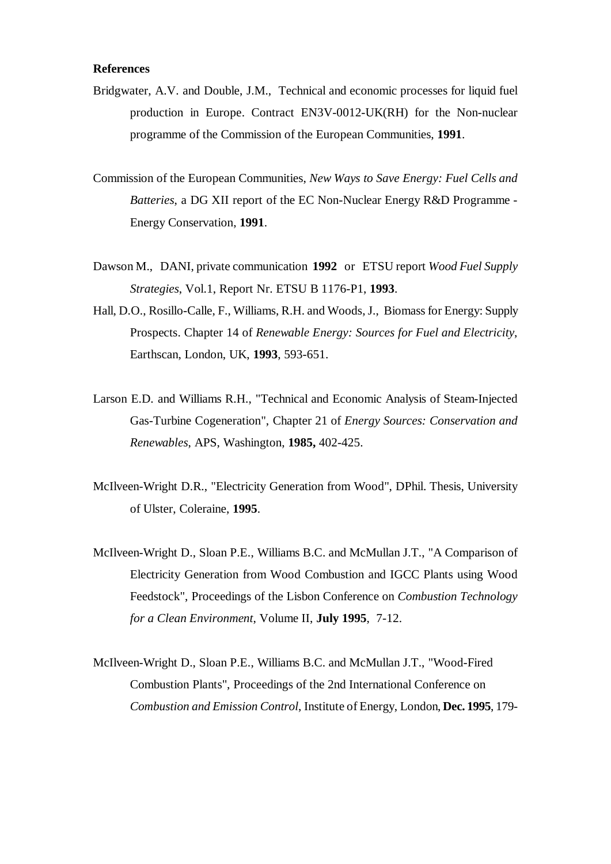#### **References**

- Bridgwater, A.V. and Double, J.M., Technical and economic processes for liquid fuel production in Europe. Contract EN3V-0012-UK(RH) for the Non-nuclear programme of the Commission of the European Communities, **1991**.
- Commission of the European Communities, *New Ways to Save Energy: Fuel Cells and Batteries*, a DG XII report of the EC Non-Nuclear Energy R&D Programme - Energy Conservation, **1991**.
- Dawson M., DANI, private communication **1992** or ETSU report *Wood Fuel Supply Strategies*, Vol.1, Report Nr. ETSU B 1176-P1, **1993**.
- Hall, D.O., Rosillo-Calle, F., Williams, R.H. and Woods, J., Biomass for Energy: Supply Prospects. Chapter 14 of *Renewable Energy: Sources for Fuel and Electricity*, Earthscan, London, UK, **1993**, 593-651.
- Larson E.D. and Williams R.H., "Technical and Economic Analysis of Steam-Injected Gas-Turbine Cogeneration", Chapter 21 of *Energy Sources: Conservation and Renewables*, APS, Washington, **1985,** 402-425.
- McIlveen-Wright D.R., "Electricity Generation from Wood", DPhil. Thesis, University of Ulster, Coleraine, **1995**.
- McIlveen-Wright D., Sloan P.E., Williams B.C. and McMullan J.T., "A Comparison of Electricity Generation from Wood Combustion and IGCC Plants using Wood Feedstock", Proceedings of the Lisbon Conference on *Combustion Technology for a Clean Environment*, Volume II, **July 1995**, 7-12.
- McIlveen-Wright D., Sloan P.E., Williams B.C. and McMullan J.T., "Wood-Fired Combustion Plants", Proceedings of the 2nd International Conference on  *Combustion and Emission Control*, Institute of Energy, London, **Dec. 1995**, 179-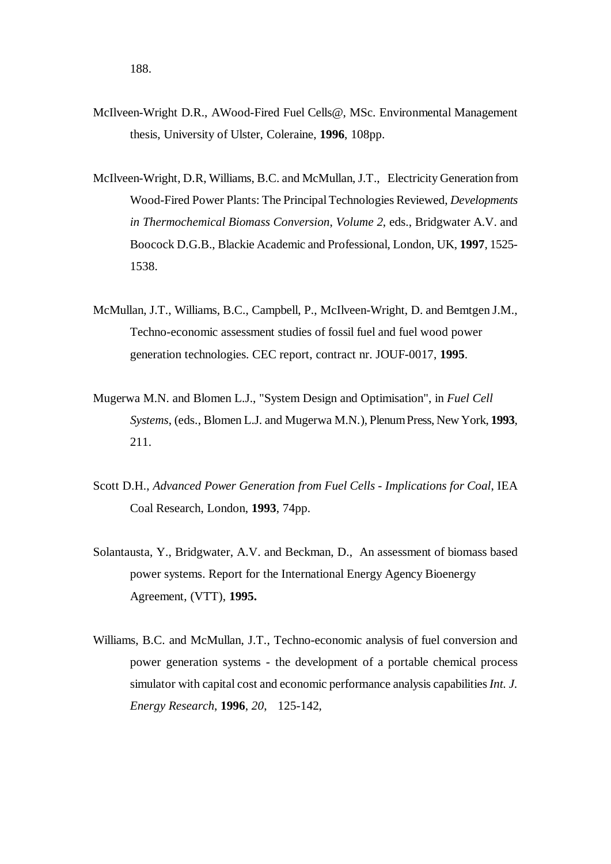- McIlveen-Wright D.R., AWood-Fired Fuel Cells@, MSc. Environmental Management thesis, University of Ulster, Coleraine, **1996**, 108pp.
- McIlveen-Wright, D.R, Williams, B.C. and McMullan, J.T., Electricity Generation from Wood-Fired Power Plants: The Principal Technologies Reviewed, *Developments in Thermochemical Biomass Conversion*, *Volume 2*, eds., Bridgwater A.V. and Boocock D.G.B., Blackie Academic and Professional, London, UK, **1997**, 1525- 1538.
- McMullan, J.T., Williams, B.C., Campbell, P., McIlveen-Wright, D. and Bemtgen J.M., Techno-economic assessment studies of fossil fuel and fuel wood power generation technologies. CEC report, contract nr. JOUF-0017, **1995**.
- Mugerwa M.N. and Blomen L.J., "System Design and Optimisation", in *Fuel Cell Systems*, (eds., Blomen L.J. and Mugerwa M.N.), Plenum Press, New York, **1993**, 211.
- Scott D.H., *Advanced Power Generation from Fuel Cells Implications for Coal*, IEA Coal Research, London, **1993**, 74pp.
- Solantausta, Y., Bridgwater, A.V. and Beckman, D., An assessment of biomass based power systems. Report for the International Energy Agency Bioenergy Agreement, (VTT), **1995.**
- Williams, B.C. and McMullan, J.T., Techno-economic analysis of fuel conversion and power generation systems - the development of a portable chemical process simulator with capital cost and economic performance analysis capabilities*Int. J. Energy Research*, **1996**, *20*, 125-142,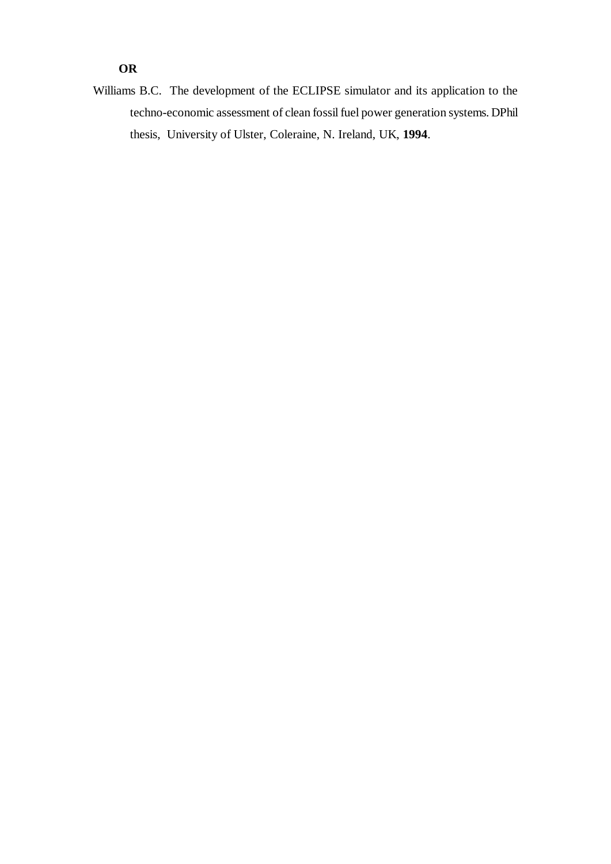# **OR**

Williams B.C. The development of the ECLIPSE simulator and its application to the techno-economic assessment of clean fossil fuel power generation systems. DPhil thesis, University of Ulster, Coleraine, N. Ireland, UK, **1994**.